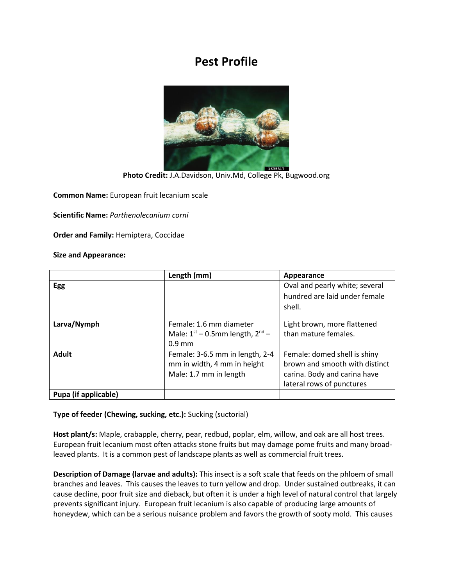## **Pest Profile**



**Photo Credit:** J.A.Davidson, Univ.Md, College Pk, Bugwood.org

**Common Name:** European fruit lecanium scale

**Scientific Name:** *Parthenolecanium corni*

**Order and Family:** Hemiptera, Coccidae

## **Size and Appearance:**

|                      | Length (mm)                          | Appearance                     |
|----------------------|--------------------------------------|--------------------------------|
| Egg                  |                                      | Oval and pearly white; several |
|                      |                                      | hundred are laid under female  |
|                      |                                      | shell.                         |
|                      |                                      |                                |
| Larva/Nymph          | Female: 1.6 mm diameter              | Light brown, more flattened    |
|                      | Male: $1st - 0.5$ mm length, $2nd -$ | than mature females.           |
|                      | $0.9$ mm                             |                                |
| <b>Adult</b>         | Female: 3-6.5 mm in length, 2-4      | Female: domed shell is shiny   |
|                      | mm in width, 4 mm in height          | brown and smooth with distinct |
|                      | Male: 1.7 mm in length               | carina. Body and carina have   |
|                      |                                      | lateral rows of punctures      |
| Pupa (if applicable) |                                      |                                |

**Type of feeder (Chewing, sucking, etc.):** Sucking (suctorial)

**Host plant/s:** Maple, crabapple, cherry, pear, redbud, poplar, elm, willow, and oak are all host trees. European fruit lecanium most often attacks stone fruits but may damage pome fruits and many broadleaved plants. It is a common pest of landscape plants as well as commercial fruit trees.

**Description of Damage (larvae and adults):** This insect is a soft scale that feeds on the phloem of small branches and leaves. This causes the leaves to turn yellow and drop. Under sustained outbreaks, it can cause decline, poor fruit size and dieback, but often it is under a high level of natural control that largely prevents significant injury. European fruit lecanium is also capable of producing large amounts of honeydew, which can be a serious nuisance problem and favors the growth of sooty mold. This causes